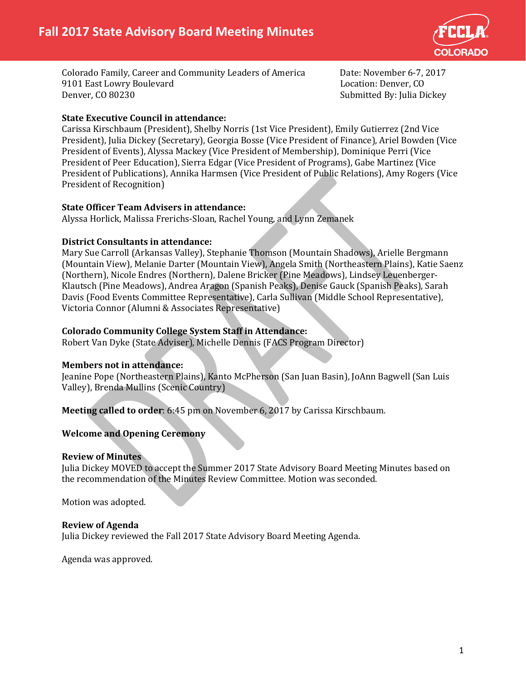

Colorado Family, Career and Community Leaders of America Date: November 6-7, 2017 9101 East Lowry Boulevard<br>Denver, CO 80230

Submitted By: Julia Dickey

# **State Executive Council in attendance:**

Carissa Kirschbaum (President), Shelby Norris (1st Vice President), Emily Gutierrez (2nd Vice President), Julia Dickey (Secretary), Georgia Bosse (Vice President of Finance), Ariel Bowden (Vice President of Events), Alyssa Mackey (Vice President of Membership), Dominique Perri (Vice President of Peer Education), Sierra Edgar (Vice President of Programs), Gabe Martinez (Vice President of Publications), Annika Harmsen (Vice President of Public Relations), Amy Rogers (Vice President of Recognition)

## **State Officer Team Advisers in attendance:**

Alyssa Horlick, Malissa Frerichs-Sloan, Rachel Young, and Lynn Zemanek

## **District Consultants in attendance:**

Mary Sue Carroll (Arkansas Valley), Stephanie Thomson (Mountain Shadows), Arielle Bergmann (Mountain View), Melanie Darter (Mountain View), Angela Smith (Northeastern Plains), Katie Saenz (Northern), Nicole Endres (Northern), Dalene Bricker (Pine Meadows), Lindsey Leuenberger-Klautsch (Pine Meadows), Andrea Aragon (Spanish Peaks), Denise Gauck (Spanish Peaks), Sarah Davis (Food Events Committee Representative), Carla Sullivan (Middle School Representative), Victoria Connor (Alumni & Associates Representative)

# **Colorado Community College System Staff in Attendance:**

Robert Van Dyke (State Adviser), Michelle Dennis (FACS Program Director)

## **Members not in attendance:**

Jeanine Pope (Northeastern Plains), Kanto McPherson (San Juan Basin), JoAnn Bagwell (San Luis Valley), Brenda Mullins (Scenic Country)

**Meeting called to order**: 6:45 pm on November 6, 2017 by Carissa Kirschbaum.

# **Welcome and Opening Ceremony**

## **Review of Minutes**

Julia Dickey MOVED to accept the Summer 2017 State Advisory Board Meeting Minutes based on the recommendation of the Minutes Review Committee. Motion was seconded.

Motion was adopted.

## **Review of Agenda**

Julia Dickey reviewed the Fall 2017 State Advisory Board Meeting Agenda.

Agenda was approved.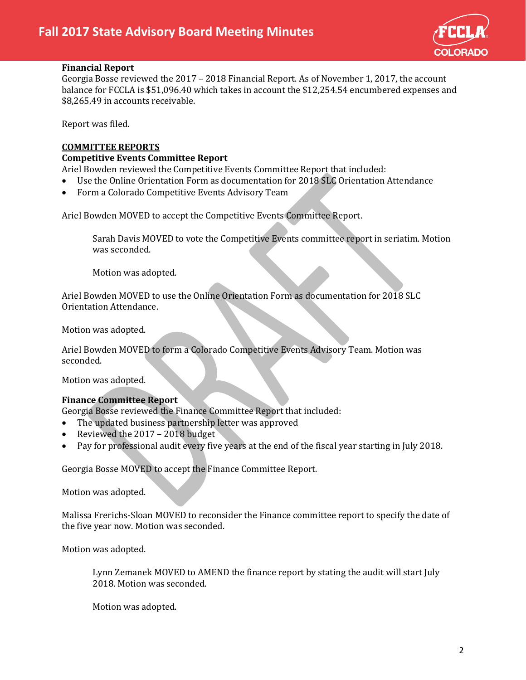

#### **Financial Report**

Georgia Bosse reviewed the 2017 – 2018 Financial Report. As of November 1, 2017, the account balance for FCCLA is \$51,096.40 which takes in account the \$12,254.54 encumbered expenses and \$8,265.49 in accounts receivable.

Report was filed.

#### **COMMITTEE REPORTS**

#### **Competitive Events Committee Report**

Ariel Bowden reviewed the Competitive Events Committee Report that included:

- Use the Online Orientation Form as documentation for 2018 SLC Orientation Attendance
- Form a Colorado Competitive Events Advisory Team

Ariel Bowden MOVED to accept the Competitive Events Committee Report.

Sarah Davis MOVED to vote the Competitive Events committee report in seriatim. Motion was seconded.

Motion was adopted.

Ariel Bowden MOVED to use the Online Orientation Form as documentation for 2018 SLC Orientation Attendance.

Motion was adopted.

Ariel Bowden MOVED to form a Colorado Competitive Events Advisory Team. Motion was seconded.

Motion was adopted.

## **Finance Committee Report**

Georgia Bosse reviewed the Finance Committee Report that included:

- The updated business partnership letter was approved
- Reviewed the 2017 2018 budget
- Pay for professional audit every five years at the end of the fiscal year starting in July 2018.

Georgia Bosse MOVED to accept the Finance Committee Report.

Motion was adopted.

Malissa Frerichs-Sloan MOVED to reconsider the Finance committee report to specify the date of the five year now. Motion was seconded.

Motion was adopted.

Lynn Zemanek MOVED to AMEND the finance report by stating the audit will start July 2018. Motion was seconded.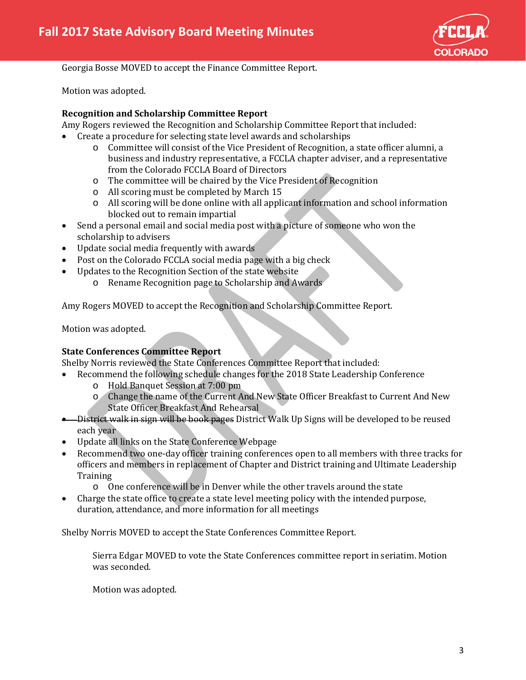

Georgia Bosse MOVED to accept the Finance Committee Report.

Motion was adopted.

## **Recognition and Scholarship Committee Report**

Amy Rogers reviewed the Recognition and Scholarship Committee Report that included:

- Create a procedure for selecting state level awards and scholarships
	- o Committee will consist of the Vice President of Recognition, a state officer alumni, a business and industry representative, a FCCLA chapter adviser, and a representative from the Colorado FCCLA Board of Directors
	- o The committee will be chaired by the Vice President of Recognition
	- o All scoring must be completed by March 15
	- o All scoring will be done online with all applicant information and school information blocked out to remain impartial
- Send a personal email and social media post with a picture of someone who won the scholarship to advisers
- Update social media frequently with awards
- Post on the Colorado FCCLA social media page with a big check
- Updates to the Recognition Section of the state website
	- o Rename Recognition page to Scholarship and Awards

Amy Rogers MOVED to accept the Recognition and Scholarship Committee Report.

Motion was adopted.

## **State Conferences Committee Report**

Shelby Norris reviewed the State Conferences Committee Report that included:

- Recommend the following schedule changes for the 2018 State Leadership Conference
	- o Hold Banquet Session at 7:00 pm
	- o Change the name of the Current And New State Officer Breakfast to Current And New State Officer Breakfast And Rehearsal
- District walk in sign will be book pages District Walk Up Signs will be developed to be reused each year
- Update all links on the State Conference Webpage
- Recommend two one-day officer training conferences open to all members with three tracks for officers and members in replacement of Chapter and District training and Ultimate Leadership **Training** 
	- o One conference will be in Denver while the other travels around the state
- Charge the state office to create a state level meeting policy with the intended purpose, duration, attendance, and more information for all meetings

Shelby Norris MOVED to accept the State Conferences Committee Report.

Sierra Edgar MOVED to vote the State Conferences committee report in seriatim. Motion was seconded.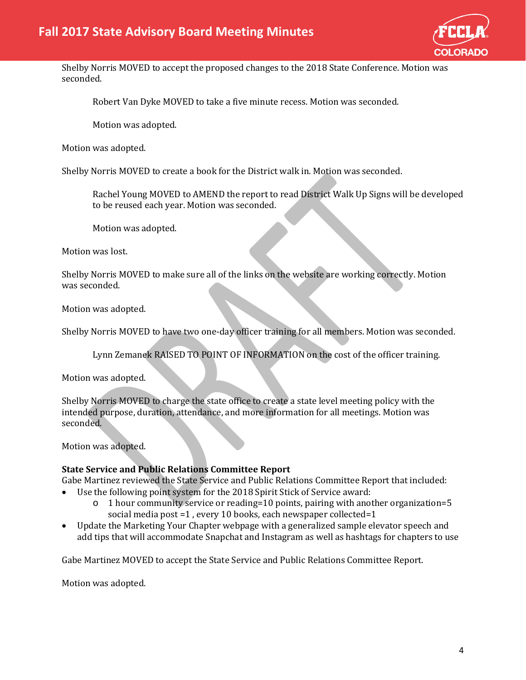

Shelby Norris MOVED to accept the proposed changes to the 2018 State Conference. Motion was seconded.

Robert Van Dyke MOVED to take a five minute recess. Motion was seconded.

Motion was adopted.

Motion was adopted.

Shelby Norris MOVED to create a book for the District walk in. Motion was seconded.

Rachel Young MOVED to AMEND the report to read District Walk Up Signs will be developed to be reused each year. Motion was seconded.

Motion was adopted.

Motion was lost.

Shelby Norris MOVED to make sure all of the links on the website are working correctly. Motion was seconded.

Motion was adopted.

Shelby Norris MOVED to have two one-day officer training for all members. Motion was seconded.

Lynn Zemanek RAISED TO POINT OF INFORMATION on the cost of the officer training.

Motion was adopted.

Shelby Norris MOVED to charge the state office to create a state level meeting policy with the intended purpose, duration, attendance, and more information for all meetings. Motion was seconded.

Motion was adopted.

## **State Service and Public Relations Committee Report**

Gabe Martinez reviewed the State Service and Public Relations Committee Report that included:

- Use the following point system for the 2018 Spirit Stick of Service award:
	- $\circ$  1 hour community service or reading=10 points, pairing with another organization=5 social media post =1, every 10 books, each newspaper collected=1
- Update the Marketing Your Chapter webpage with a generalized sample elevator speech and add tips that will accommodate Snapchat and Instagram as well as hashtags for chapters to use

Gabe Martinez MOVED to accept the State Service and Public Relations Committee Report.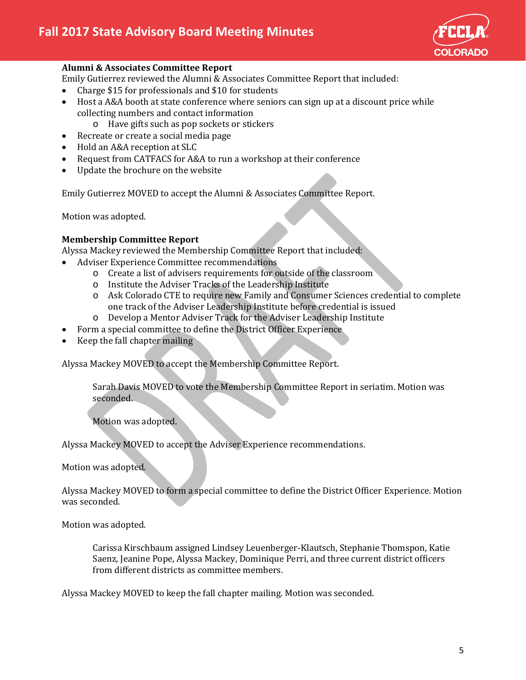

## **Alumni & Associates Committee Report**

Emily Gutierrez reviewed the Alumni & Associates Committee Report that included:

- Charge \$15 for professionals and \$10 for students
- Host a A&A booth at state conference where seniors can sign up at a discount price while collecting numbers and contact information
	- o Have gifts such as pop sockets or stickers
- Recreate or create a social media page
- Hold an A&A reception at SLC
- Request from CATFACS for A&A to run a workshop at their conference
- Update the brochure on the website

Emily Gutierrez MOVED to accept the Alumni & Associates Committee Report.

Motion was adopted.

#### **Membership Committee Report**

Alyssa Mackey reviewed the Membership Committee Report that included:

- Adviser Experience Committee recommendations
	- o Create a list of advisers requirements for outside of the classroom
	- o Institute the Adviser Tracks of the Leadership Institute
	- o Ask Colorado CTE to require new Family and Consumer Sciences credential to complete one track of the Adviser Leadership Institute before credential is issued
	- o Develop a Mentor Adviser Track for the Adviser Leadership Institute
- Form a special committee to define the District Officer Experience
- Keep the fall chapter mailing

Alyssa Mackey MOVED to accept the Membership Committee Report.

Sarah Davis MOVED to vote the Membership Committee Report in seriatim. Motion was seconded.

Motion was adopted.

Alyssa Mackey MOVED to accept the Adviser Experience recommendations.

Motion was adopted.

Alyssa Mackey MOVED to form a special committee to define the District Officer Experience. Motion was seconded.

Motion was adopted.

Carissa Kirschbaum assigned Lindsey Leuenberger-Klautsch, Stephanie Thomspon, Katie Saenz, Jeanine Pope, Alyssa Mackey, Dominique Perri, and three current district officers from different districts as committee members.

Alyssa Mackey MOVED to keep the fall chapter mailing. Motion was seconded.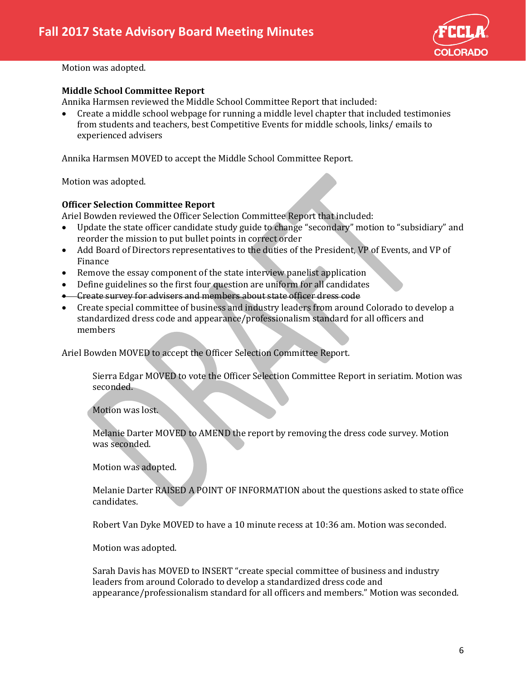

#### **Middle School Committee Report**

Annika Harmsen reviewed the Middle School Committee Report that included:

• Create a middle school webpage for running a middle level chapter that included testimonies from students and teachers, best Competitive Events for middle schools, links/ emails to experienced advisers

Annika Harmsen MOVED to accept the Middle School Committee Report.

Motion was adopted.

#### **Officer Selection Committee Report**

Ariel Bowden reviewed the Officer Selection Committee Report that included:<br>• Update the state officer candidate study guide to change "secondary" motion

- Update the state officer candidate study guide to change "secondary" motion to "subsidiary" and reorder the mission to put bullet points in correct order
- Add Board of Directors representatives to the duties of the President, VP of Events, and VP of Finance
- Remove the essay component of the state interview panelist application
- Define guidelines so the first four question are uniform for all candidates
- Create survey for advisers and members about state officer dress code
- Create special committee of business and industry leaders from around Colorado to develop a standardized dress code and appearance/professionalism standard for all officers and members

Ariel Bowden MOVED to accept the Officer Selection Committee Report.

Sierra Edgar MOVED to vote the Officer Selection Committee Report in seriatim. Motion was seconded.

Motion was lost.

Melanie Darter MOVED to AMEND the report by removing the dress code survey. Motion was seconded.

Motion was adopted.

Melanie Darter RAISED A POINT OF INFORMATION about the questions asked to state office candidates.

Robert Van Dyke MOVED to have a 10 minute recess at 10:36 am. Motion was seconded.

Motion was adopted.

Sarah Davis has MOVED to INSERT "create special committee of business and industry leaders from around Colorado to develop a standardized dress code and appearance/professionalism standard for all officers and members." Motion was seconded.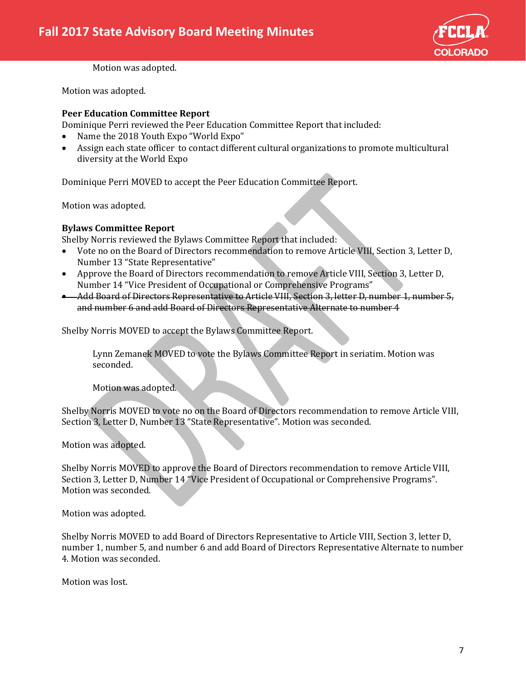

Motion was adopted.

#### **Peer Education Committee Report**

Dominique Perri reviewed the Peer Education Committee Report that included:

- Name the 2018 Youth Expo "World Expo"
- Assign each state officer to contact different cultural organizations to promote multicultural diversity at the World Expo

Dominique Perri MOVED to accept the Peer Education Committee Report.

Motion was adopted.

#### **Bylaws Committee Report**

Shelby Norris reviewed the Bylaws Committee Report that included:

- Vote no on the Board of Directors recommendation to remove Article VIII, Section 3, Letter D, Number 13 "State Representative"
- Approve the Board of Directors recommendation to remove Article VIII, Section 3, Letter D, Number 14 "Vice President of Occupational or Comprehensive Programs"
- Add Board of Directors Representative to Article VIII, Section 3, letter D, number 1, number 5, and number 6 and add Board of Directors Representative Alternate to number 4

Shelby Norris MOVED to accept the Bylaws Committee Report.

Lynn Zemanek MOVED to vote the Bylaws Committee Report in seriatim. Motion was seconded.

Motion was adopted.

Shelby Norris MOVED to vote no on the Board of Directors recommendation to remove Article VIII, Section 3, Letter D, Number 13 "State Representative". Motion was seconded.

Motion was adopted.

Shelby Norris MOVED to approve the Board of Directors recommendation to remove Article VIII, Section 3, Letter D, Number 14 "Vice President of Occupational or Comprehensive Programs". Motion was seconded.

Motion was adopted.

Shelby Norris MOVED to add Board of Directors Representative to Article VIII, Section 3, letter D, number 1, number 5, and number 6 and add Board of Directors Representative Alternate to number 4. Motion was seconded.

Motion was lost.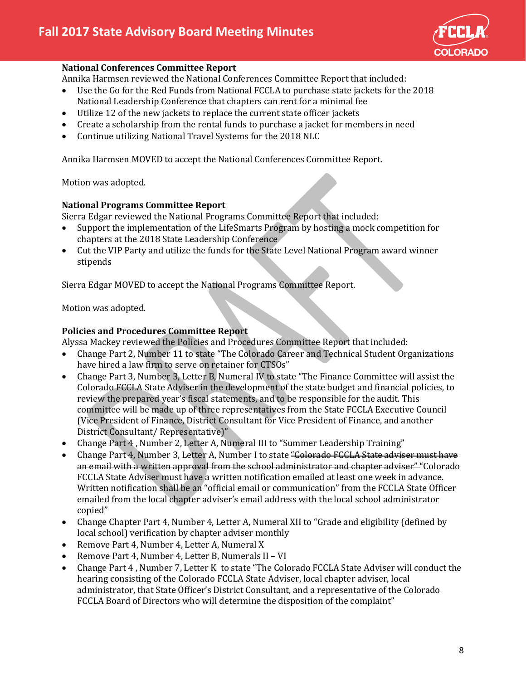

#### **National Conferences Committee Report**

Annika Harmsen reviewed the National Conferences Committee Report that included:

- Use the Go for the Red Funds from National FCCLA to purchase state jackets for the 2018 National Leadership Conference that chapters can rent for a minimal fee
- Utilize 12 of the new jackets to replace the current state officer jackets
- Create a scholarship from the rental funds to purchase a jacket for members in need
- Continue utilizing National Travel Systems for the 2018 NLC

Annika Harmsen MOVED to accept the National Conferences Committee Report.

Motion was adopted.

#### **National Programs Committee Report**

Sierra Edgar reviewed the National Programs Committee Report that included:

- Support the implementation of the LifeSmarts Program by hosting a mock competition for chapters at the 2018 State Leadership Conference
- Cut the VIP Party and utilize the funds for the State Level National Program award winner stipends

Sierra Edgar MOVED to accept the National Programs Committee Report.

Motion was adopted.

## **Policies and Procedures Committee Report**

Alyssa Mackey reviewed the Policies and Procedures Committee Report that included:

- Change Part 2, Number 11 to state "The Colorado Career and Technical Student Organizations have hired a law firm to serve on retainer for CTSOs"
- Change Part 3, Number 3, Letter B, Numeral IV to state "The Finance Committee will assist the Colorado FCCLA State Adviser in the development of the state budget and financial policies, to review the prepared year's fiscal statements, and to be responsible for the audit. This committee will be made up of three representatives from the State FCCLA Executive Council (Vice President of Finance, District Consultant for Vice President of Finance, and another District Consultant/ Representative)"
- Change Part 4, Number 2, Letter A, Numeral III to "Summer Leadership Training"
- Change Part 4, Number 3, Letter A, Number I to state "Colorado FCCLA State adviser must have an email with a written approval from the school administrator and chapter adviser" "Colorado FCCLA State Adviser must have a written notification emailed at least one week in advance. Written notification shall be an "official email or communication" from the FCCLA State Officer emailed from the local chapter adviser's email address with the local school administrator copied"
- Change Chapter Part 4, Number 4, Letter A, Numeral XII to "Grade and eligibility (defined by local school) verification by chapter adviser monthly
- Remove Part 4, Number 4, Letter A, Numeral X
- Remove Part 4, Number 4, Letter B, Numerals II VI
- Change Part 4 , Number 7, Letter K to state "The Colorado FCCLA State Adviser will conduct the hearing consisting of the Colorado FCCLA State Adviser, local chapter adviser, local administrator, that State Officer's District Consultant, and a representative of the Colorado FCCLA Board of Directors who will determine the disposition of the complaint"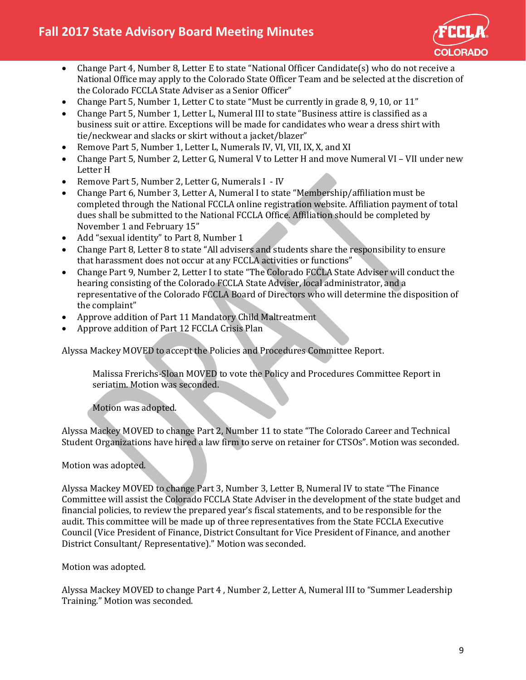

- Change Part 4, Number 8, Letter E to state "National Officer Candidate(s) who do not receive a National Office may apply to the Colorado State Officer Team and be selected at the discretion of the Colorado FCCLA State Adviser as a Senior Officer"
- Change Part 5, Number 1, Letter C to state "Must be currently in grade 8, 9, 10, or 11"
- Change Part 5, Number 1, Letter L, Numeral III to state "Business attire is classified as a business suit or attire. Exceptions will be made for candidates who wear a dress shirt with tie/neckwear and slacks or skirt without a jacket/blazer"
- Remove Part 5, Number 1, Letter L, Numerals IV, VI, VII, IX, X, and XI
- Change Part 5, Number 2, Letter G, Numeral V to Letter H and move Numeral VI VII under new Letter H
- Remove Part 5, Number 2, Letter G, Numerals I IV
- Change Part 6, Number 3, Letter A, Numeral I to state "Membership/affiliation must be completed through the National FCCLA online registration website. Affiliation payment of total dues shall be submitted to the National FCCLA Office. Affiliation should be completed by November 1 and February 15"
- Add "sexual identity" to Part 8, Number 1
- Change Part 8, Letter 8 to state "All advisers and students share the responsibility to ensure that harassment does not occur at any FCCLA activities or functions"
- Change Part 9, Number 2, Letter I to state "The Colorado FCCLA State Adviser will conduct the hearing consisting of the Colorado FCCLA State Adviser, local administrator, and a representative of the Colorado FCCLA Board of Directors who will determine the disposition of the complaint"
- Approve addition of Part 11 Mandatory Child Maltreatment
- Approve addition of Part 12 FCCLA Crisis Plan

Alyssa Mackey MOVED to accept the Policies and Procedures Committee Report.

Malissa Frerichs-Sloan MOVED to vote the Policy and Procedures Committee Report in seriatim. Motion was seconded.

Motion was adopted.

Alyssa Mackey MOVED to change Part 2, Number 11 to state "The Colorado Career and Technical Student Organizations have hired a law firm to serve on retainer for CTSOs". Motion was seconded.

## Motion was adopted.

Alyssa Mackey MOVED to change Part 3, Number 3, Letter B, Numeral IV to state "The Finance Committee will assist the Colorado FCCLA State Adviser in the development of the state budget and financial policies, to review the prepared year's fiscal statements, and to be responsible for the audit. This committee will be made up of three representatives from the State FCCLA Executive Council (Vice President of Finance, District Consultant for Vice President of Finance, and another District Consultant/ Representative)." Motion was seconded.

Motion was adopted.

Alyssa Mackey MOVED to change Part 4 , Number 2, Letter A, Numeral III to "Summer Leadership Training." Motion was seconded.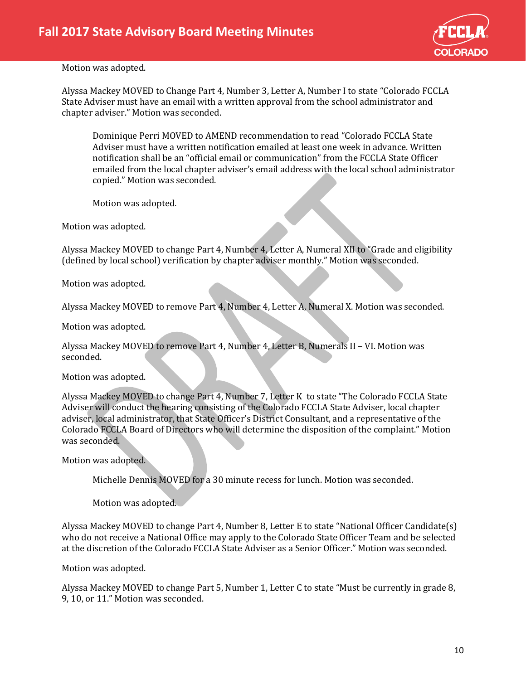

Alyssa Mackey MOVED to Change Part 4, Number 3, Letter A, Number I to state "Colorado FCCLA State Adviser must have an email with a written approval from the school administrator and chapter adviser." Motion was seconded.

Dominique Perri MOVED to AMEND recommendation to read "Colorado FCCLA State Adviser must have a written notification emailed at least one week in advance. Written notification shall be an "official email or communication" from the FCCLA State Officer emailed from the local chapter adviser's email address with the local school administrator copied." Motion was seconded.

Motion was adopted.

Motion was adopted.

Alyssa Mackey MOVED to change Part 4, Number 4, Letter A, Numeral XII to "Grade and eligibility (defined by local school) verification by chapter adviser monthly." Motion was seconded.

Motion was adopted.

Alyssa Mackey MOVED to remove Part 4, Number 4, Letter A, Numeral X. Motion was seconded.

Motion was adopted.

Alyssa Mackey MOVED to remove Part 4, Number 4, Letter B, Numerals II – VI. Motion was seconded.

Motion was adopted.

Alyssa Mackey MOVED to change Part 4, Number 7, Letter K to state "The Colorado FCCLA State Adviser will conduct the hearing consisting of the Colorado FCCLA State Adviser, local chapter adviser, local administrator, that State Officer's District Consultant, and a representative of the Colorado FCCLA Board of Directors who will determine the disposition of the complaint." Motion was seconded.

Motion was adopted.

Michelle Dennis MOVED for a 30 minute recess for lunch. Motion was seconded.

Motion was adopted.

Alyssa Mackey MOVED to change Part 4, Number 8, Letter E to state "National Officer Candidate(s) who do not receive a National Office may apply to the Colorado State Officer Team and be selected at the discretion of the Colorado FCCLA State Adviser as a Senior Officer." Motion was seconded.

Motion was adopted.

Alyssa Mackey MOVED to change Part 5, Number 1, Letter C to state "Must be currently in grade 8, 9, 10, or 11." Motion was seconded.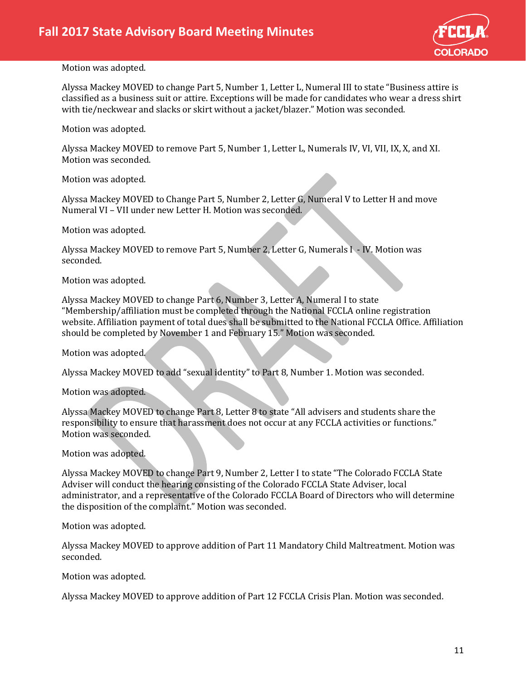

Alyssa Mackey MOVED to change Part 5, Number 1, Letter L, Numeral III to state "Business attire is classified as a business suit or attire. Exceptions will be made for candidates who wear a dress shirt with tie/neckwear and slacks or skirt without a jacket/blazer." Motion was seconded.

Motion was adopted.

Alyssa Mackey MOVED to remove Part 5, Number 1, Letter L, Numerals IV, VI, VII, IX, X, and XI. Motion was seconded.

Motion was adopted.

Alyssa Mackey MOVED to Change Part 5, Number 2, Letter G, Numeral V to Letter H and move Numeral VI – VII under new Letter H. Motion was seconded.

Motion was adopted.

Alyssa Mackey MOVED to remove Part 5, Number 2, Letter G, Numerals I - IV. Motion was seconded.

Motion was adopted.

Alyssa Mackey MOVED to change Part 6, Number 3, Letter A, Numeral I to state "Membership/affiliation must be completed through the National FCCLA online registration website. Affiliation payment of total dues shall be submitted to the National FCCLA Office. Affiliation should be completed by November 1 and February 15." Motion was seconded.

Motion was adopted.

Alyssa Mackey MOVED to add "sexual identity" to Part 8, Number 1. Motion was seconded.

Motion was adopted.

Alyssa Mackey MOVED to change Part 8, Letter 8 to state "All advisers and students share the responsibility to ensure that harassment does not occur at any FCCLA activities or functions." Motion was seconded.

Motion was adopted.

Alyssa Mackey MOVED to change Part 9, Number 2, Letter I to state "The Colorado FCCLA State Adviser will conduct the hearing consisting of the Colorado FCCLA State Adviser, local administrator, and a representative of the Colorado FCCLA Board of Directors who will determine the disposition of the complaint." Motion was seconded.

Motion was adopted.

Alyssa Mackey MOVED to approve addition of Part 11 Mandatory Child Maltreatment. Motion was seconded.

Motion was adopted.

Alyssa Mackey MOVED to approve addition of Part 12 FCCLA Crisis Plan. Motion was seconded.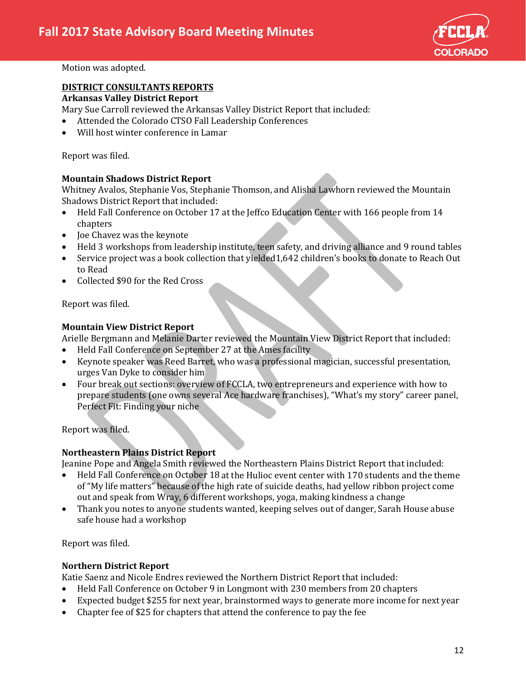

# **DISTRICT CONSULTANTS REPORTS**

## **Arkansas Valley District Report**

Mary Sue Carroll reviewed the Arkansas Valley District Report that included:

- Attended the Colorado CTSO Fall Leadership Conferences
- Will host winter conference in Lamar

Report was filed.

## **Mountain Shadows District Report**

Whitney Avalos, Stephanie Vos, Stephanie Thomson, and Alisha Lawhorn reviewed the Mountain Shadows District Report that included:

- Held Fall Conference on October 17 at the Jeffco Education Center with 166 people from 14 chapters
- Joe Chavez was the keynote
- Held 3 workshops from leadership institute, teen safety, and driving alliance and 9 round tables
- Service project was a book collection that yielded1,642 children's books to donate to Reach Out to Read
- Collected \$90 for the Red Cross

Report was filed.

# **Mountain View District Report**

Arielle Bergmann and Melanie Darter reviewed the Mountain View District Report that included:<br>• Held Fall Conference on September 27 at the Ames facility

- Held Fall Conference on September 27 at the Ames facility
- Keynote speaker was Reed Barret, who was a professional magician, successful presentation, urges Van Dyke to consider him
- Four break out sections: overview of FCCLA, two entrepreneurs and experience with how to prepare students (one owns several Ace hardware franchises), "What's my story" career panel, Perfect Fit: Finding your niche

Report was filed.

# **Northeastern Plains District Report**

Jeanine Pope and Angela Smith reviewed the Northeastern Plains District Report that included:

- Held Fall Conference on October 18 at the Hulioc event center with 170 students and the theme of "My life matters" because of the high rate of suicide deaths, had yellow ribbon project come out and speak from Wray, 6 different workshops, yoga, making kindness a change
- Thank you notes to anyone students wanted, keeping selves out of danger, Sarah House abuse safe house had a workshop

Report was filed.

## **Northern District Report**

Katie Saenz and Nicole Endres reviewed the Northern District Report that included:

- Held Fall Conference on October 9 in Longmont with 230 members from 20 chapters
- Expected budget \$255 for next year, brainstormed ways to generate more income for next year
- Chapter fee of \$25 for chapters that attend the conference to pay the fee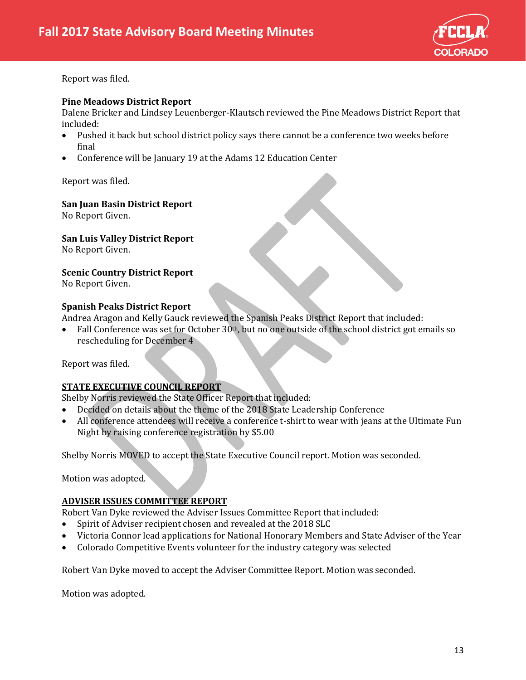

Report was filed.

#### **Pine Meadows District Report**

Dalene Bricker and Lindsey Leuenberger-Klautsch reviewed the Pine Meadows District Report that included:<br>• Pushe

- Pushed it back but school district policy says there cannot be a conference two weeks before final
- Conference will be January 19 at the Adams 12 Education Center

Report was filed.

#### **San Juan Basin District Report**

No Report Given.

**San Luis Valley District Report**

No Report Given.

**Scenic Country District Report**

No Report Given.

## **Spanish Peaks District Report**

Andrea Aragon and Kelly Gauck reviewed the Spanish Peaks District Report that included:

• Fall Conference was set for October 30<sup>th</sup>, but no one outside of the school district got emails so rescheduling for December 4

Report was filed.

## **STATE EXECUTIVE COUNCIL REPORT**

Shelby Norris reviewed the State Officer Report that included:

- Decided on details about the theme of the 2018 State Leadership Conference
- All conference attendees will receive a conference t-shirt to wear with jeans at the Ultimate Fun Night by raising conference registration by \$5.00

Shelby Norris MOVED to accept the State Executive Council report. Motion was seconded.

Motion was adopted.

#### **ADVISER ISSUES COMMITTEE REPORT**

Robert Van Dyke reviewed the Adviser Issues Committee Report that included:<br>• Spirit of Adviser recipient chosen and revealed at the 2018 SLC

- Spirit of Adviser recipient chosen and revealed at the 2018 SLC
- Victoria Connor lead applications for National Honorary Members and State Adviser of the Year
- Colorado Competitive Events volunteer for the industry category was selected

Robert Van Dyke moved to accept the Adviser Committee Report. Motion was seconded.